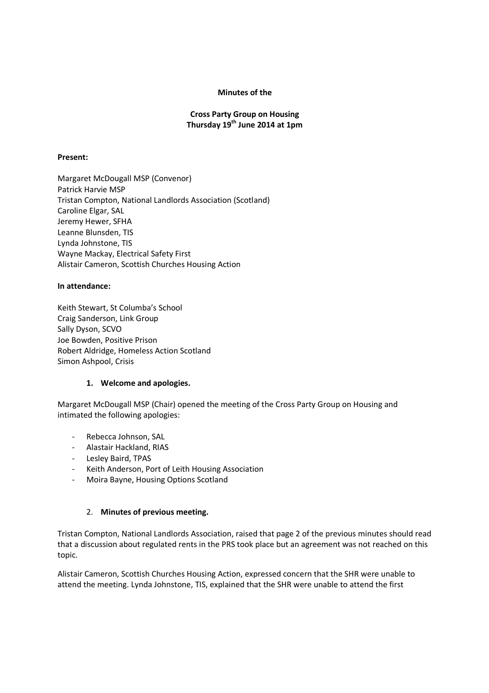### Minutes of the

### Cross Party Group on Housing Thursday  $19^{th}$  June 2014 at 1pm

#### Present:

Margaret McDougall MSP (Convenor) Patrick Harvie MSP Tristan Compton, National Landlords Association (Scotland) Caroline Elgar, SAL Jeremy Hewer, SFHA Leanne Blunsden, TIS Lynda Johnstone, TIS Wayne Mackay, Electrical Safety First Alistair Cameron, Scottish Churches Housing Action

#### In attendance:

Keith Stewart, St Columba's School Craig Sanderson, Link Group Sally Dyson, SCVO Joe Bowden, Positive Prison Robert Aldridge, Homeless Action Scotland Simon Ashpool, Crisis

### 1. Welcome and apologies.

Margaret McDougall MSP (Chair) opened the meeting of the Cross Party Group on Housing and intimated the following apologies:

- Rebecca Johnson, SAL
- Alastair Hackland, RIAS
- Lesley Baird, TPAS
- Keith Anderson, Port of Leith Housing Association
- Moira Bayne, Housing Options Scotland

### 2. Minutes of previous meeting.

Tristan Compton, National Landlords Association, raised that page 2 of the previous minutes should read that a discussion about regulated rents in the PRS took place but an agreement was not reached on this topic.

Alistair Cameron, Scottish Churches Housing Action, expressed concern that the SHR were unable to attend the meeting. Lynda Johnstone, TIS, explained that the SHR were unable to attend the first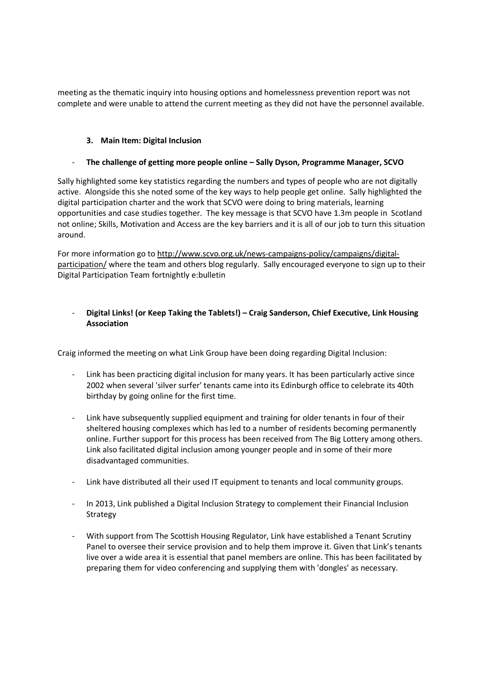meeting as the thematic inquiry into housing options and homelessness prevention report was not complete and were unable to attend the current meeting as they did not have the personnel available.

### 3. Main Item: Digital Inclusion

### The challenge of getting more people online – Sally Dyson, Programme Manager, SCVO

Sally highlighted some key statistics regarding the numbers and types of people who are not digitally active. Alongside this she noted some of the key ways to help people get online. Sally highlighted the digital participation charter and the work that SCVO were doing to bring materials, learning opportunities and case studies together. The key message is that SCVO have 1.3m people in Scotland not online; Skills, Motivation and Access are the key barriers and it is all of our job to turn this situation around.

For more information go to http://www.scvo.org.uk/news-campaigns-policy/campaigns/digitalparticipation/ where the team and others blog regularly. Sally encouraged everyone to sign up to their Digital Participation Team fortnightly e:bulletin

## - Digital Links! (or Keep Taking the Tablets!) – Craig Sanderson, Chief Executive, Link Housing Association

Craig informed the meeting on what Link Group have been doing regarding Digital Inclusion:

- Link has been practicing digital inclusion for many years. It has been particularly active since 2002 when several 'silver surfer' tenants came into its Edinburgh office to celebrate its 40th birthday by going online for the first time.
- Link have subsequently supplied equipment and training for older tenants in four of their sheltered housing complexes which has led to a number of residents becoming permanently online. Further support for this process has been received from The Big Lottery among others. Link also facilitated digital inclusion among younger people and in some of their more disadvantaged communities.
- Link have distributed all their used IT equipment to tenants and local community groups.
- In 2013, Link published a Digital Inclusion Strategy to complement their Financial Inclusion Strategy
- With support from The Scottish Housing Regulator, Link have established a Tenant Scrutiny Panel to oversee their service provision and to help them improve it. Given that Link's tenants live over a wide area it is essential that panel members are online. This has been facilitated by preparing them for video conferencing and supplying them with 'dongles' as necessary.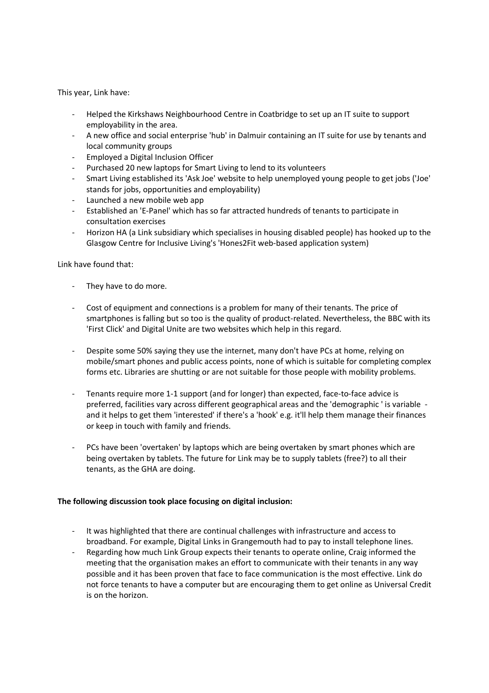This year, Link have:

- Helped the Kirkshaws Neighbourhood Centre in Coatbridge to set up an IT suite to support employability in the area.
- A new office and social enterprise 'hub' in Dalmuir containing an IT suite for use by tenants and local community groups
- Employed a Digital Inclusion Officer
- Purchased 20 new laptops for Smart Living to lend to its volunteers
- Smart Living established its 'Ask Joe' website to help unemployed young people to get jobs ('Joe' stands for jobs, opportunities and employability)
- Launched a new mobile web app
- Established an 'E-Panel' which has so far attracted hundreds of tenants to participate in consultation exercises
- Horizon HA (a Link subsidiary which specialises in housing disabled people) has hooked up to the Glasgow Centre for Inclusive Living's 'Hones2Fit web-based application system)

Link have found that:

- They have to do more.
- Cost of equipment and connections is a problem for many of their tenants. The price of smartphones is falling but so too is the quality of product-related. Nevertheless, the BBC with its 'First Click' and Digital Unite are two websites which help in this regard.
- Despite some 50% saying they use the internet, many don't have PCs at home, relying on mobile/smart phones and public access points, none of which is suitable for completing complex forms etc. Libraries are shutting or are not suitable for those people with mobility problems.
- Tenants require more 1-1 support (and for longer) than expected, face-to-face advice is preferred, facilities vary across different geographical areas and the 'demographic ' is variable and it helps to get them 'interested' if there's a 'hook' e.g. it'll help them manage their finances or keep in touch with family and friends.
- PCs have been 'overtaken' by laptops which are being overtaken by smart phones which are being overtaken by tablets. The future for Link may be to supply tablets (free?) to all their tenants, as the GHA are doing.

### The following discussion took place focusing on digital inclusion:

- It was highlighted that there are continual challenges with infrastructure and access to broadband. For example, Digital Links in Grangemouth had to pay to install telephone lines.
- Regarding how much Link Group expects their tenants to operate online, Craig informed the meeting that the organisation makes an effort to communicate with their tenants in any way possible and it has been proven that face to face communication is the most effective. Link do not force tenants to have a computer but are encouraging them to get online as Universal Credit is on the horizon.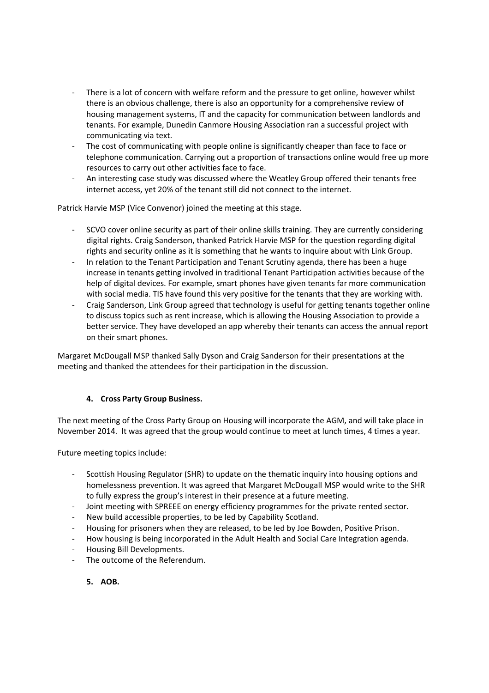- There is a lot of concern with welfare reform and the pressure to get online, however whilst there is an obvious challenge, there is also an opportunity for a comprehensive review of housing management systems, IT and the capacity for communication between landlords and tenants. For example, Dunedin Canmore Housing Association ran a successful project with communicating via text.
- The cost of communicating with people online is significantly cheaper than face to face or telephone communication. Carrying out a proportion of transactions online would free up more resources to carry out other activities face to face.
- An interesting case study was discussed where the Weatley Group offered their tenants free internet access, yet 20% of the tenant still did not connect to the internet.

Patrick Harvie MSP (Vice Convenor) joined the meeting at this stage.

- SCVO cover online security as part of their online skills training. They are currently considering digital rights. Craig Sanderson, thanked Patrick Harvie MSP for the question regarding digital rights and security online as it is something that he wants to inquire about with Link Group.
- In relation to the Tenant Participation and Tenant Scrutiny agenda, there has been a huge increase in tenants getting involved in traditional Tenant Participation activities because of the help of digital devices. For example, smart phones have given tenants far more communication with social media. TIS have found this very positive for the tenants that they are working with.
- Craig Sanderson, Link Group agreed that technology is useful for getting tenants together online to discuss topics such as rent increase, which is allowing the Housing Association to provide a better service. They have developed an app whereby their tenants can access the annual report on their smart phones.

Margaret McDougall MSP thanked Sally Dyson and Craig Sanderson for their presentations at the meeting and thanked the attendees for their participation in the discussion.

### 4. Cross Party Group Business.

The next meeting of the Cross Party Group on Housing will incorporate the AGM, and will take place in November 2014. It was agreed that the group would continue to meet at lunch times, 4 times a year.

Future meeting topics include:

- Scottish Housing Regulator (SHR) to update on the thematic inquiry into housing options and homelessness prevention. It was agreed that Margaret McDougall MSP would write to the SHR to fully express the group's interest in their presence at a future meeting.
- Joint meeting with SPREEE on energy efficiency programmes for the private rented sector.
- New build accessible properties, to be led by Capability Scotland.
- Housing for prisoners when they are released, to be led by Joe Bowden, Positive Prison.
- How housing is being incorporated in the Adult Health and Social Care Integration agenda.
- Housing Bill Developments.
- The outcome of the Referendum.
	- 5. AOB.